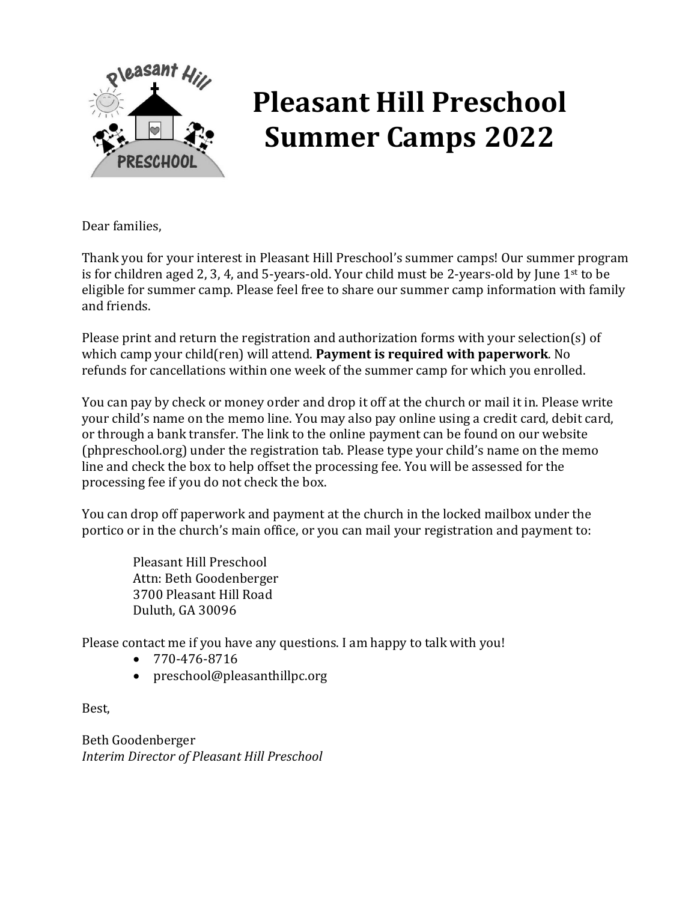

# **Pleasant Hill Preschool Summer Camps 2022**

Dear families,

Thank you for your interest in Pleasant Hill Preschool's summer camps! Our summer program is for children aged 2, 3, 4, and 5-years-old. Your child must be 2-years-old by June 1st to be eligible for summer camp. Please feel free to share our summer camp information with family and friends.

Please print and return the registration and authorization forms with your selection(s) of which camp your child(ren) will attend. **Payment is required with paperwork**. No refunds for cancellations within one week of the summer camp for which you enrolled.

You can pay by check or money order and drop it off at the church or mail it in. Please write your child's name on the memo line. You may also pay online using a credit card, debit card, or through a bank transfer. The link to the online payment can be found on our website (phpreschool.org) under the registration tab. Please type your child's name on the memo line and check the box to help offset the processing fee. You will be assessed for the processing fee if you do not check the box.

You can drop off paperwork and payment at the church in the locked mailbox under the portico or in the church's main office, or you can mail your registration and payment to:

Pleasant Hill Preschool Attn: Beth Goodenberger 3700 Pleasant Hill Road Duluth, GA 30096

Please contact me if you have any questions. I am happy to talk with you!

- 770-476-8716
- preschool@pleasanthillpc.org

Best,

Beth Goodenberger *Interim Director of Pleasant Hill Preschool*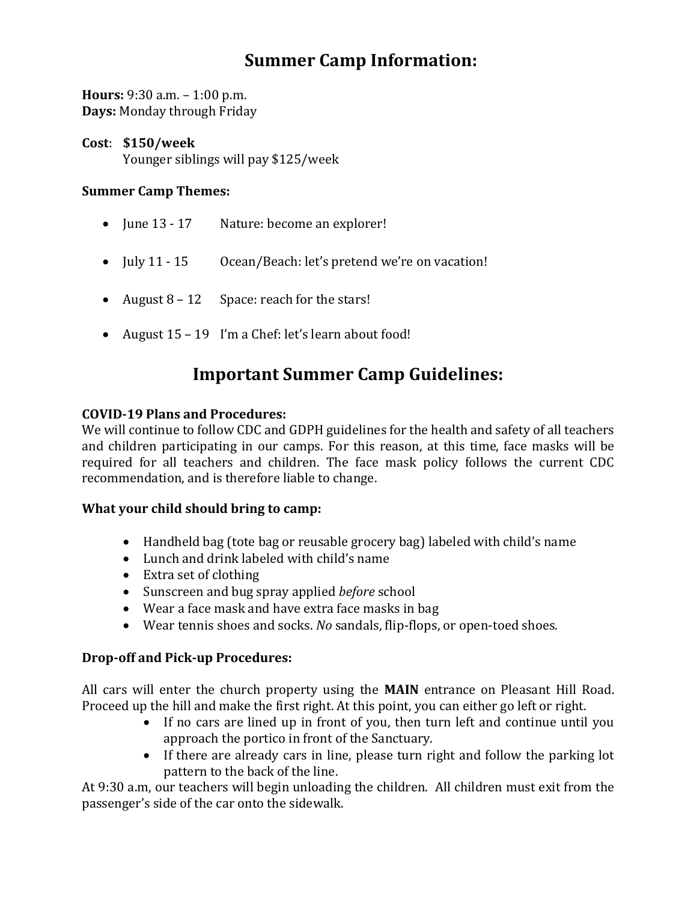# **Summer Camp Information:**

**Hours:** 9:30 a.m. – 1:00 p.m. **Days:** Monday through Friday

**Cost**: **\$150/week** Younger siblings will pay \$125/week

#### **Summer Camp Themes:**

- June 13 17 Nature: become an explorer!
- July 11 15 Ocean/Beach: let's pretend we're on vacation!
- August 8 12 Space: reach for the stars!
- August 15 19 I'm a Chef: let's learn about food!

# **Important Summer Camp Guidelines:**

#### **COVID-19 Plans and Procedures:**

We will continue to follow CDC and GDPH guidelines for the health and safety of all teachers and children participating in our camps. For this reason, at this time, face masks will be required for all teachers and children. The face mask policy follows the current CDC recommendation, and is therefore liable to change.

#### **What your child should bring to camp:**

- Handheld bag (tote bag or reusable grocery bag) labeled with child's name
- Lunch and drink labeled with child's name
- Extra set of clothing
- Sunscreen and bug spray applied *before* school
- Wear a face mask and have extra face masks in bag
- Wear tennis shoes and socks. *No* sandals, flip-flops, or open-toed shoes.

#### **Drop-off and Pick-up Procedures:**

All cars will enter the church property using the **MAIN** entrance on Pleasant Hill Road. Proceed up the hill and make the first right. At this point, you can either go left or right.

- If no cars are lined up in front of you, then turn left and continue until you approach the portico in front of the Sanctuary.
- If there are already cars in line, please turn right and follow the parking lot pattern to the back of the line.

At 9:30 a.m, our teachers will begin unloading the children. All children must exit from the passenger's side of the car onto the sidewalk.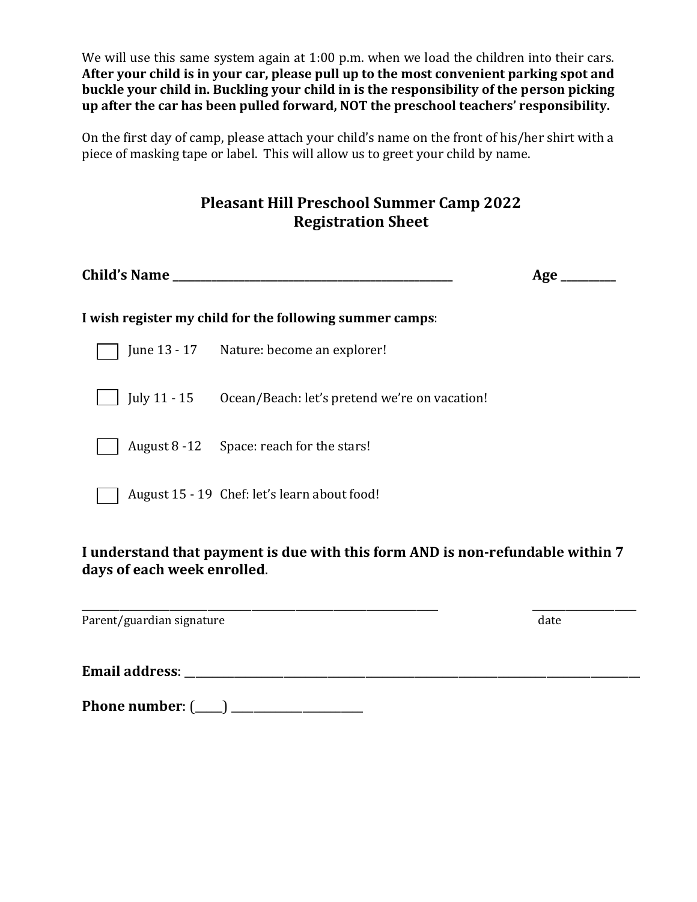We will use this same system again at 1:00 p.m. when we load the children into their cars. **After your child is in your car, please pull up to the most convenient parking spot and buckle your child in. Buckling your child in is the responsibility of the person picking up after the car has been pulled forward, NOT the preschool teachers' responsibility.**

On the first day of camp, please attach your child's name on the front of his/her shirt with a piece of masking tape or label. This will allow us to greet your child by name.

## **Pleasant Hill Preschool Summer Camp 2022 Registration Sheet**

| Child's Name _                                           |                                               | Age |  |  |
|----------------------------------------------------------|-----------------------------------------------|-----|--|--|
| I wish register my child for the following summer camps: |                                               |     |  |  |
|                                                          | June 13 - 17 Nature: become an explorer!      |     |  |  |
| July 11 - 15                                             | Ocean/Beach: let's pretend we're on vacation! |     |  |  |
| August 8 -12 Space: reach for the stars!                 |                                               |     |  |  |
| August 15 - 19 Chef: let's learn about food!             |                                               |     |  |  |
|                                                          |                                               |     |  |  |

#### **I understand that payment is due with this form AND is non-refundable within 7 days of each week enrolled**.

\_\_\_\_\_\_\_\_\_\_\_\_\_\_\_\_\_\_\_\_\_\_\_\_\_\_\_\_\_\_\_\_\_\_\_\_\_\_\_\_\_\_\_\_\_\_\_\_\_\_\_\_\_\_\_\_\_\_\_\_\_\_\_\_\_ \_\_\_\_\_\_\_\_\_\_\_\_\_\_\_\_\_\_\_ Parent/guardian signature date

**Email address**: \_\_\_\_\_\_\_\_\_\_\_\_\_\_\_\_\_\_\_\_\_\_\_\_\_\_\_\_\_\_\_\_\_\_\_\_\_\_\_\_\_\_\_\_\_\_\_\_\_\_\_\_\_\_\_\_\_\_\_\_\_\_\_\_\_\_\_\_\_\_\_\_\_\_\_\_\_\_\_\_\_\_\_

**Phone number**: (\_\_\_\_\_) \_\_\_\_\_\_\_\_\_\_\_\_\_\_\_\_\_\_\_\_\_\_\_\_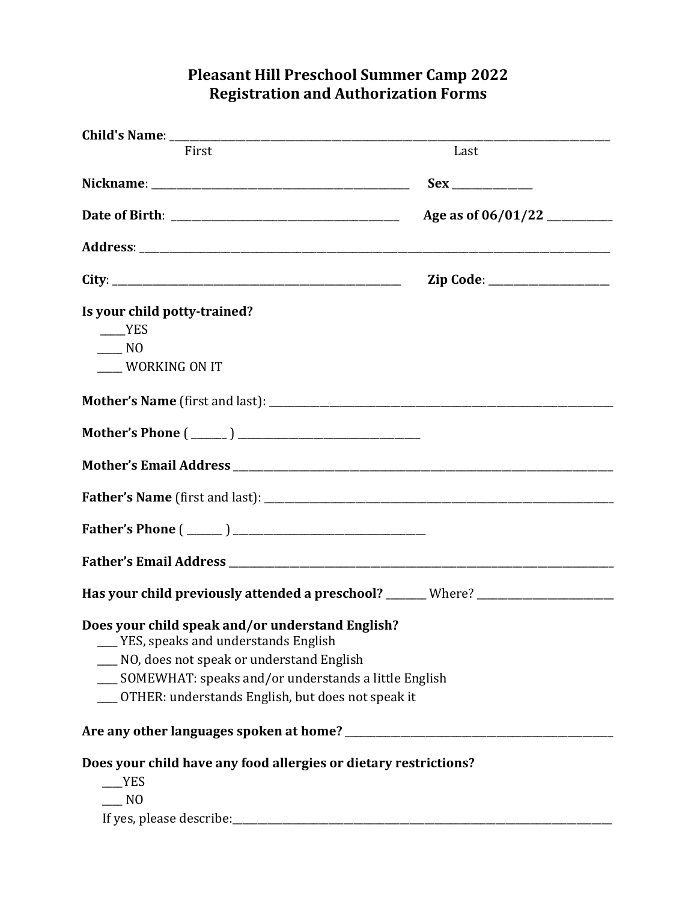# **Pleasant Hill Preschool Summer Camp 2022 Registration and Authorization Forms**

| First                                                                                                                                                                                                                                                      | Last |  |  |
|------------------------------------------------------------------------------------------------------------------------------------------------------------------------------------------------------------------------------------------------------------|------|--|--|
|                                                                                                                                                                                                                                                            |      |  |  |
|                                                                                                                                                                                                                                                            |      |  |  |
|                                                                                                                                                                                                                                                            |      |  |  |
|                                                                                                                                                                                                                                                            |      |  |  |
| Is your child potty-trained?<br>YES                                                                                                                                                                                                                        |      |  |  |
| $\frac{1}{2}N$<br>____WORKING ON IT                                                                                                                                                                                                                        |      |  |  |
| Mother's Name (first and last): Mother's Name (first and last):                                                                                                                                                                                            |      |  |  |
|                                                                                                                                                                                                                                                            |      |  |  |
|                                                                                                                                                                                                                                                            |      |  |  |
|                                                                                                                                                                                                                                                            |      |  |  |
| Father's Phone $(\_\_)$                                                                                                                                                                                                                                    |      |  |  |
|                                                                                                                                                                                                                                                            |      |  |  |
| Has your child previously attended a preschool? ______ Where? __________________                                                                                                                                                                           |      |  |  |
| Does your child speak and/or understand English?<br>__ YES, speaks and understands English<br>__ NO, does not speak or understand English<br>___ SOMEWHAT: speaks and/or understands a little English<br>OTHER: understands English, but does not speak it |      |  |  |
|                                                                                                                                                                                                                                                            |      |  |  |
| Does your child have any food allergies or dietary restrictions?<br><b>YES</b><br>N <sub>O</sub>                                                                                                                                                           |      |  |  |

If yes, please describe:\_\_\_\_\_\_\_\_\_\_\_\_\_\_\_\_\_\_\_\_\_\_\_\_\_\_\_\_\_\_\_\_\_\_\_\_\_\_\_\_\_\_\_\_\_\_\_\_\_\_\_\_\_\_\_\_\_\_\_\_\_\_\_\_\_\_\_\_\_\_\_\_\_\_\_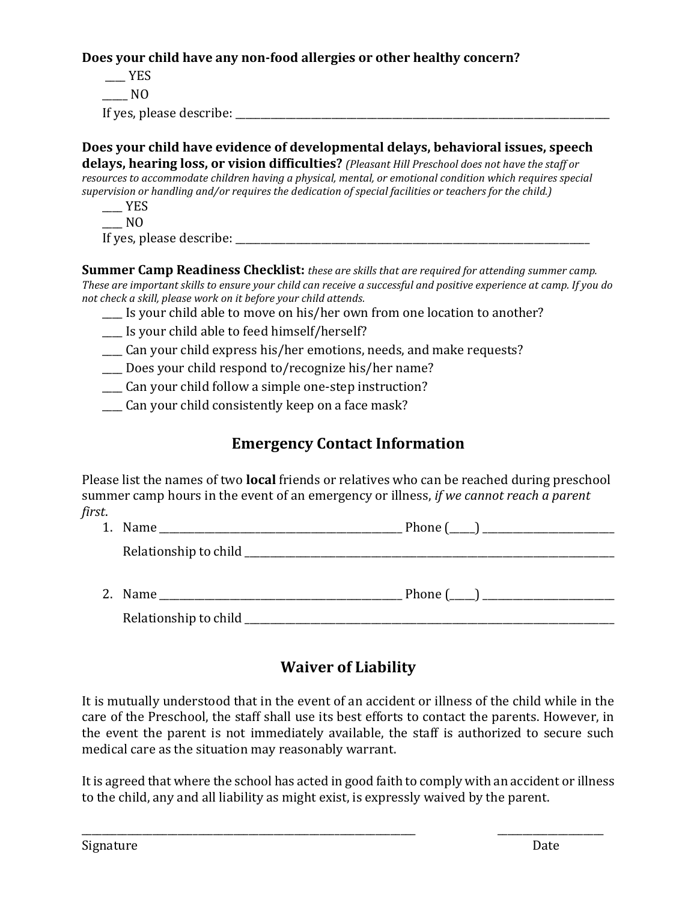**Does your child have any non-food allergies or other healthy concern?**

 $-$  YES

 $\overline{N}$ 

If yes, please describe:

**Does your child have evidence of developmental delays, behavioral issues, speech delays, hearing loss, or vision difficulties?** *(Pleasant Hill Preschool does not have the staff or resources to accommodate children having a physical, mental, or emotional condition which requires special supervision or handling and/or requires the dedication of special facilities or teachers for the child.)*

 $\rule{1em}{0.15mm}$  YES

 $\Box$  NO

If yes, please describe:

**Summer Camp Readiness Checklist:** *these are skills that are required for attending summer camp. These are important skills to ensure your child can receive a successful and positive experience at camp. If you do not check a skill, please work on it before your child attends.*

- \_\_\_\_ Is your child able to move on his/her own from one location to another?
- \_\_\_\_ Is your child able to feed himself/herself?
- \_\_\_\_ Can your child express his/her emotions, needs, and make requests?
- \_\_\_\_ Does your child respond to/recognize his/her name?

\_\_\_\_ Can your child follow a simple one-step instruction?

\_\_\_\_ Can your child consistently keep on a face mask?

# **Emergency Contact Information**

Please list the names of two **local** friends or relatives who can be reached during preschool summer camp hours in the event of an emergency or illness, *if we cannot reach a parent first*.

- 1. Name Phone ( $\Box$ ) Relationship to child  $\Box$
- 2. Name \_\_\_\_\_\_\_\_\_\_\_\_\_\_\_\_\_\_\_\_\_\_\_\_\_\_\_\_\_\_\_\_\_\_\_\_\_\_\_\_\_\_\_\_\_\_\_\_ Phone (\_\_\_\_\_) \_\_\_\_\_\_\_\_\_\_\_\_\_\_\_\_\_\_\_\_\_\_\_\_\_\_ Relationship to child  $\Box$

# **Waiver of Liability**

It is mutually understood that in the event of an accident or illness of the child while in the care of the Preschool, the staff shall use its best efforts to contact the parents. However, in the event the parent is not immediately available, the staff is authorized to secure such medical care as the situation may reasonably warrant.

It is agreed that where the school has acted in good faith to comply with an accident or illness to the child, any and all liability as might exist, is expressly waived by the parent.

\_\_\_\_\_\_\_\_\_\_\_\_\_\_\_\_\_\_\_\_\_\_\_\_\_\_\_\_\_\_\_\_\_\_\_\_\_\_\_\_\_\_\_\_\_\_\_\_\_\_\_\_\_\_\_\_\_\_\_\_\_\_\_\_\_\_ \_\_\_\_\_\_\_\_\_\_\_\_\_\_\_\_\_\_\_\_\_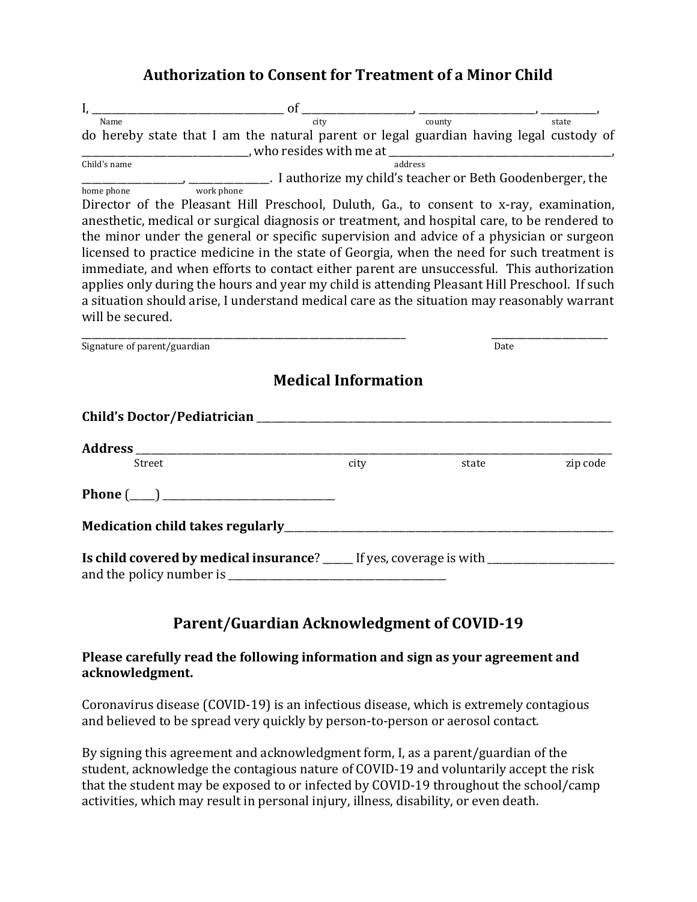### **Authorization to Consent for Treatment of a Minor Child**

| $I,$ $\frac{1}{I}$ $\frac{1}{I}$ $\frac{1}{I}$ $\frac{1}{I}$ $\frac{1}{I}$ $\frac{1}{I}$ $\frac{1}{I}$ $\frac{1}{I}$ $\frac{1}{I}$ $\frac{1}{I}$ $\frac{1}{I}$ $\frac{1}{I}$ $\frac{1}{I}$ $\frac{1}{I}$ $\frac{1}{I}$ $\frac{1}{I}$ $\frac{1}{I}$ $\frac{1}{I}$ $\frac{1}{I}$ $\frac{1}{I}$ $\frac{1}{I}$ $\frac{1}{$                                                                                                                                                                                                                                                                                                                                                                             |  |                            |       |          |
|----------------------------------------------------------------------------------------------------------------------------------------------------------------------------------------------------------------------------------------------------------------------------------------------------------------------------------------------------------------------------------------------------------------------------------------------------------------------------------------------------------------------------------------------------------------------------------------------------------------------------------------------------------------------------------------------------|--|----------------------------|-------|----------|
| do hereby state that I am the natural parent or legal guardian having legal custody of                                                                                                                                                                                                                                                                                                                                                                                                                                                                                                                                                                                                             |  |                            |       |          |
| $\frac{1}{\text{mldres}}$ who resides with me at $\frac{1}{\text{address}}$                                                                                                                                                                                                                                                                                                                                                                                                                                                                                                                                                                                                                        |  |                            |       |          |
| address<br>home phone work phone example of the contract of the contract of the contract of the contract of the contract of the contract of the contract of the contract of the contract of the contract of the contract of the c                                                                                                                                                                                                                                                                                                                                                                                                                                                                  |  |                            |       |          |
|                                                                                                                                                                                                                                                                                                                                                                                                                                                                                                                                                                                                                                                                                                    |  |                            |       |          |
| Director of the Pleasant Hill Preschool, Duluth, Ga., to consent to x-ray, examination,<br>anesthetic, medical or surgical diagnosis or treatment, and hospital care, to be rendered to<br>the minor under the general or specific supervision and advice of a physician or surgeon<br>licensed to practice medicine in the state of Georgia, when the need for such treatment is<br>immediate, and when efforts to contact either parent are unsuccessful. This authorization<br>applies only during the hours and year my child is attending Pleasant Hill Preschool. If such<br>a situation should arise, I understand medical care as the situation may reasonably warrant<br>will be secured. |  |                            |       |          |
| Signature of parent/guardian                                                                                                                                                                                                                                                                                                                                                                                                                                                                                                                                                                                                                                                                       |  |                            | Date  |          |
|                                                                                                                                                                                                                                                                                                                                                                                                                                                                                                                                                                                                                                                                                                    |  | <b>Medical Information</b> |       |          |
|                                                                                                                                                                                                                                                                                                                                                                                                                                                                                                                                                                                                                                                                                                    |  |                            |       |          |
|                                                                                                                                                                                                                                                                                                                                                                                                                                                                                                                                                                                                                                                                                                    |  |                            |       |          |
| Street                                                                                                                                                                                                                                                                                                                                                                                                                                                                                                                                                                                                                                                                                             |  | city                       | state | zip code |
|                                                                                                                                                                                                                                                                                                                                                                                                                                                                                                                                                                                                                                                                                                    |  |                            |       |          |
|                                                                                                                                                                                                                                                                                                                                                                                                                                                                                                                                                                                                                                                                                                    |  |                            |       |          |
| Is child covered by medical insurance? _____ If yes, coverage is with _____________________________                                                                                                                                                                                                                                                                                                                                                                                                                                                                                                                                                                                                |  |                            |       |          |

# **Parent/Guardian Acknowledgment of COVID-19**

#### **Please carefully read the following information and sign as your agreement and acknowledgment.**

Coronavirus disease (COVID-19) is an infectious disease, which is extremely contagious and believed to be spread very quickly by person-to-person or aerosol contact.

By signing this agreement and acknowledgment form, I, as a parent/guardian of the student, acknowledge the contagious nature of COVID-19 and voluntarily accept the risk that the student may be exposed to or infected by COVID-19 throughout the school/camp activities, which may result in personal injury, illness, disability, or even death.